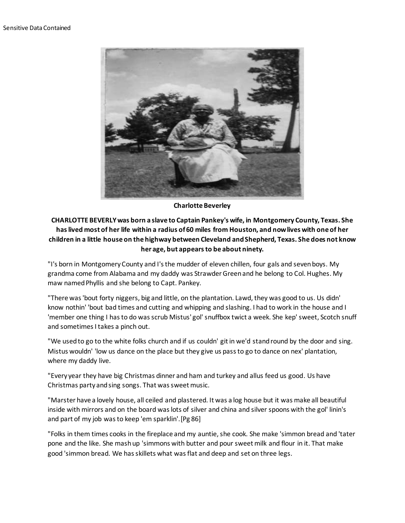

**Charlotte Beverley**

## **CHARLOTTE BEVERLY was born a slave to Captain Pankey's wife, in Montgomery County, Texas. She has lived most of her life within a radius of 60 miles from Houston, and now lives with one of her children in a little house on the highway between Cleveland and Shepherd, Texas. She does not know her age, but appears to be about ninety.**

"I's born in Montgomery County and I's the mudder of eleven chillen, four gals and seven boys. My grandma come from Alabama and my daddy was Strawder Green and he belong to Col. Hughes. My maw named Phyllis and she belong to Capt. Pankey.

"There was 'bout forty niggers, big and little, on the plantation. Lawd, they was good to us. Us didn' know nothin' 'bout bad times and cutting and whipping and slashing. I had to work in the house and I 'member one thing I has to do was scrub Mistus' gol' snuffbox twict a week. She kep' sweet, Scotch snuff and sometimes I takes a pinch out.

"We used to go to the white folks church and if us couldn' git in we'd stand round by the door and sing. Mistus wouldn' 'low us dance on the place but they give us pass to go to dance on nex' plantation, where my daddy live.

"Every year they have big Christmas dinner and ham and turkey and allus feed us good. Us have Christmas party and sing songs. That was sweet music.

"Marster have a lovely house, all ceiled and plastered. It was a log house but it was make all beautiful inside with mirrors and on the board was lots of silver and china and silver spoons with the gol' linin's and part of my job was to keep 'em sparklin'.[Pg 86]

"Folks in them times cooks in the fireplace and my auntie, she cook. She make 'simmon bread and 'tater pone and the like. She mash up 'simmons with butter and pour sweet milk and flour in it. That make good 'simmon bread. We has skillets what was flat and deep and set on three legs.